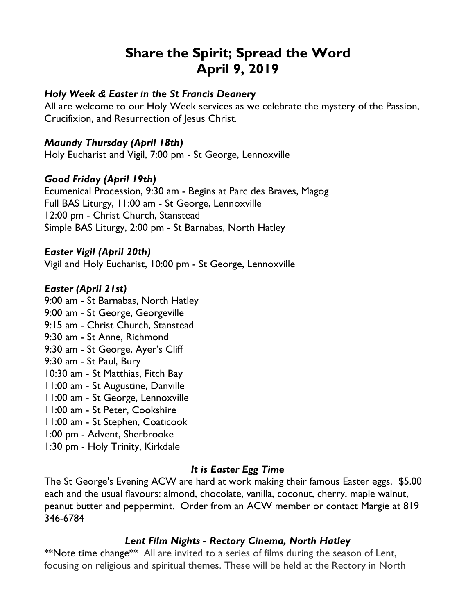# **Share the Spirit; Spread the Word April 9, 2019**

#### *Holy Week & Easter in the St Francis Deanery*

All are welcome to our Holy Week services as we celebrate the mystery of the Passion, Crucifixion, and Resurrection of Jesus Christ.

#### *Maundy Thursday (April 18th)*

Holy Eucharist and Vigil, 7:00 pm - St George, Lennoxville

### *Good Friday (April 19th)*

Ecumenical Procession, 9:30 am - Begins at Parc des Braves, Magog Full BAS Liturgy, 11:00 am - St George, Lennoxville 12:00 pm - Christ Church, Stanstead Simple BAS Liturgy, 2:00 pm - St Barnabas, North Hatley

#### *Easter Vigil (April 20th)*

Vigil and Holy Eucharist, 10:00 pm - St George, Lennoxville

#### *Easter (April 21st)*

9:00 am - St Barnabas, North Hatley 9:00 am - St George, Georgeville 9:15 am - Christ Church, Stanstead 9:30 am - St Anne, Richmond 9:30 am - St George, Ayer's Cliff 9:30 am - St Paul, Bury 10:30 am - St Matthias, Fitch Bay 11:00 am - St Augustine, Danville 11:00 am - St George, Lennoxville 11:00 am - St Peter, Cookshire 11:00 am - St Stephen, Coaticook 1:00 pm - Advent, Sherbrooke 1:30 pm - Holy Trinity, Kirkdale

# *It is Easter Egg Time*

The St George's Evening ACW are hard at work making their famous Easter eggs. \$5.00 each and the usual flavours: almond, chocolate, vanilla, coconut, cherry, maple walnut, peanut butter and peppermint. Order from an ACW member or contact Margie at 819 346-6784

# *Lent Film Nights - Rectory Cinema, North Hatley*

\*\*Note time change\*\* All are invited to a series of films during the season of Lent, focusing on religious and spiritual themes. These will be held at the Rectory in North